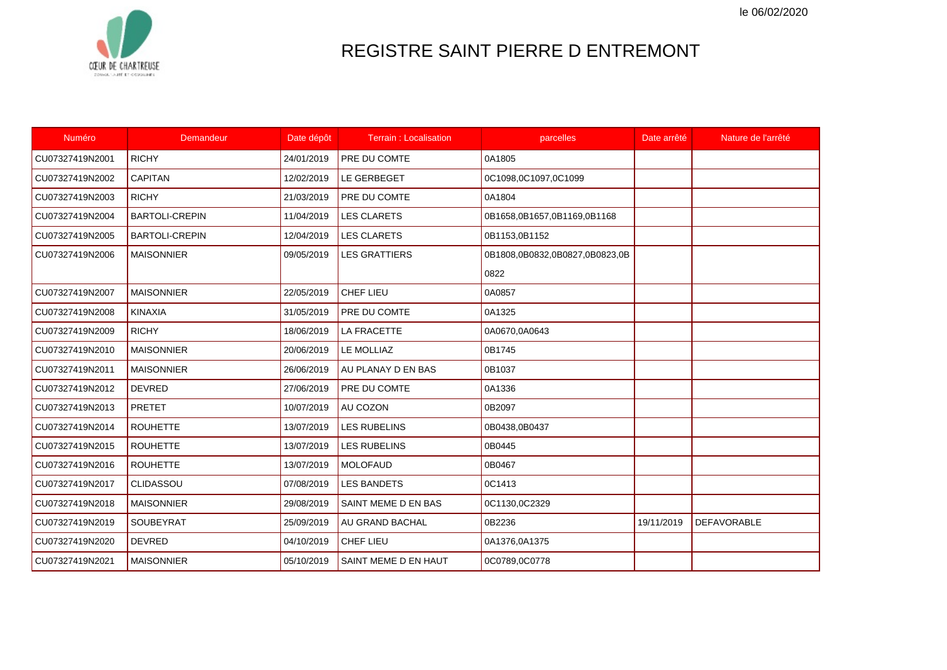

## REGISTRE SAINT PIERRE D ENTREMONT

| Numéro          | Demandeur             | Date dépôt | <b>Terrain: Localisation</b> | parcelles                      | Date arrêté | Nature de l'arrêté |
|-----------------|-----------------------|------------|------------------------------|--------------------------------|-------------|--------------------|
| CU07327419N2001 | <b>RICHY</b>          | 24/01/2019 | PRE DU COMTE                 | 0A1805                         |             |                    |
| CU07327419N2002 | <b>CAPITAN</b>        | 12/02/2019 | LE GERBEGET                  | 0C1098,0C1097,0C1099           |             |                    |
| CU07327419N2003 | <b>RICHY</b>          | 21/03/2019 | PRE DU COMTE                 | 0A1804                         |             |                    |
| CU07327419N2004 | <b>BARTOLI-CREPIN</b> | 11/04/2019 | LES CLARETS                  | 0B1658,0B1657,0B1169,0B1168    |             |                    |
| CU07327419N2005 | <b>BARTOLI-CREPIN</b> | 12/04/2019 | <b>LES CLARETS</b>           | 0B1153,0B1152                  |             |                    |
| CU07327419N2006 | <b>MAISONNIER</b>     | 09/05/2019 | <b>LES GRATTIERS</b>         | 0B1808,0B0832,0B0827,0B0823,0B |             |                    |
|                 |                       |            |                              | 0822                           |             |                    |
| CU07327419N2007 | <b>MAISONNIER</b>     | 22/05/2019 | CHEF LIEU                    | 0A0857                         |             |                    |
| CU07327419N2008 | KINAXIA               | 31/05/2019 | PRE DU COMTE                 | 0A1325                         |             |                    |
| CU07327419N2009 | <b>RICHY</b>          | 18/06/2019 | LA FRACETTE                  | 0A0670,0A0643                  |             |                    |
| CU07327419N2010 | <b>MAISONNIER</b>     | 20/06/2019 | LE MOLLIAZ                   | 0B1745                         |             |                    |
| CU07327419N2011 | <b>MAISONNIER</b>     | 26/06/2019 | AU PLANAY D EN BAS           | 0B1037                         |             |                    |
| CU07327419N2012 | <b>DEVRED</b>         | 27/06/2019 | PRE DU COMTE                 | 0A1336                         |             |                    |
| CU07327419N2013 | <b>PRETET</b>         | 10/07/2019 | AU COZON                     | 0B2097                         |             |                    |
| CU07327419N2014 | <b>ROUHETTE</b>       | 13/07/2019 | <b>LES RUBELINS</b>          | 0B0438,0B0437                  |             |                    |
| CU07327419N2015 | <b>ROUHETTE</b>       | 13/07/2019 | <b>LES RUBELINS</b>          | 0B0445                         |             |                    |
| CU07327419N2016 | <b>ROUHETTE</b>       | 13/07/2019 | <b>MOLOFAUD</b>              | 0B0467                         |             |                    |
| CU07327419N2017 | CLIDASSOU             | 07/08/2019 | <b>LES BANDETS</b>           | 0C1413                         |             |                    |
| CU07327419N2018 | <b>MAISONNIER</b>     | 29/08/2019 | SAINT MEME D EN BAS          | 0C1130,0C2329                  |             |                    |
| CU07327419N2019 | SOUBEYRAT             | 25/09/2019 | AU GRAND BACHAL              | 0B2236                         | 19/11/2019  | <b>DEFAVORABLE</b> |
| CU07327419N2020 | <b>DEVRED</b>         | 04/10/2019 | CHEF LIEU                    | 0A1376,0A1375                  |             |                    |
| CU07327419N2021 | <b>MAISONNIER</b>     | 05/10/2019 | SAINT MEME D EN HAUT         | 0C0789,0C0778                  |             |                    |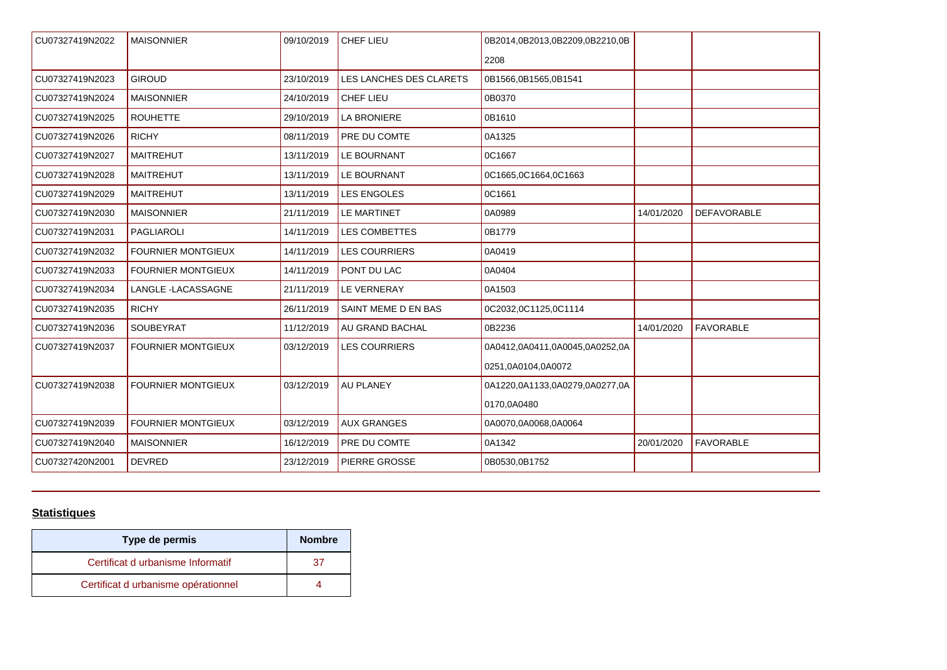| CU07327419N2022 | <b>MAISONNIER</b>         | 09/10/2019 | CHEF LIEU               | 0B2014,0B2013,0B2209,0B2210,0B |            |                  |
|-----------------|---------------------------|------------|-------------------------|--------------------------------|------------|------------------|
|                 |                           |            |                         | 2208                           |            |                  |
| CU07327419N2023 | <b>GIROUD</b>             | 23/10/2019 | LES LANCHES DES CLARETS | 0B1566,0B1565,0B1541           |            |                  |
| CU07327419N2024 | <b>MAISONNIER</b>         | 24/10/2019 | CHEF LIEU               | 0B0370                         |            |                  |
| CU07327419N2025 | <b>ROUHETTE</b>           | 29/10/2019 | LA BRONIERE             | 0B1610                         |            |                  |
| CU07327419N2026 | <b>RICHY</b>              | 08/11/2019 | PRE DU COMTE            | 0A1325                         |            |                  |
| CU07327419N2027 | MAITREHUT                 | 13/11/2019 | LE BOURNANT             | 0C1667                         |            |                  |
| CU07327419N2028 | <b>MAITREHUT</b>          | 13/11/2019 | LE BOURNANT             | 0C1665,0C1664,0C1663           |            |                  |
| CU07327419N2029 | <b>MAITREHUT</b>          | 13/11/2019 | LES ENGOLES             | 0C1661                         |            |                  |
| CU07327419N2030 | <b>MAISONNIER</b>         | 21/11/2019 | <b>LE MARTINET</b>      | 0A0989                         | 14/01/2020 | DEFAVORABLE      |
| CU07327419N2031 | PAGLIAROLI                | 14/11/2019 | <b>LES COMBETTES</b>    | 0B1779                         |            |                  |
| CU07327419N2032 | <b>FOURNIER MONTGIEUX</b> | 14/11/2019 | <b>LES COURRIERS</b>    | 0A0419                         |            |                  |
| CU07327419N2033 | <b>FOURNIER MONTGIEUX</b> | 14/11/2019 | PONT DU LAC             | 0A0404                         |            |                  |
| CU07327419N2034 | LANGLE -LACASSAGNE        | 21/11/2019 | LE VERNERAY             | 0A1503                         |            |                  |
| CU07327419N2035 | <b>RICHY</b>              | 26/11/2019 | SAINT MEME D EN BAS     | 0C2032,0C1125,0C1114           |            |                  |
| CU07327419N2036 | <b>SOUBEYRAT</b>          | 11/12/2019 | AU GRAND BACHAL         | 0B2236                         | 14/01/2020 | <b>FAVORABLE</b> |
| CU07327419N2037 | <b>FOURNIER MONTGIEUX</b> | 03/12/2019 | <b>LES COURRIERS</b>    | 0A0412,0A0411,0A0045,0A0252,0A |            |                  |
|                 |                           |            |                         | 0251,0A0104,0A0072             |            |                  |
| CU07327419N2038 | <b>FOURNIER MONTGIEUX</b> | 03/12/2019 | <b>AU PLANEY</b>        | 0A1220,0A1133,0A0279,0A0277,0A |            |                  |
|                 |                           |            |                         | 0170,0A0480                    |            |                  |
| CU07327419N2039 | <b>FOURNIER MONTGIEUX</b> | 03/12/2019 | <b>AUX GRANGES</b>      | 0A0070,0A0068,0A0064           |            |                  |
| CU07327419N2040 | <b>MAISONNIER</b>         | 16/12/2019 | PRE DU COMTE            | 0A1342                         | 20/01/2020 | <b>FAVORABLE</b> |
| CU07327420N2001 | <b>DEVRED</b>             | 23/12/2019 | <b>PIERRE GROSSE</b>    | 0B0530,0B1752                  |            |                  |

## **Statistiques**

| Type de permis                      | <b>Nombre</b> |
|-------------------------------------|---------------|
| Certificat d urbanisme Informatif   | 37            |
| Certificat d urbanisme opérationnel |               |